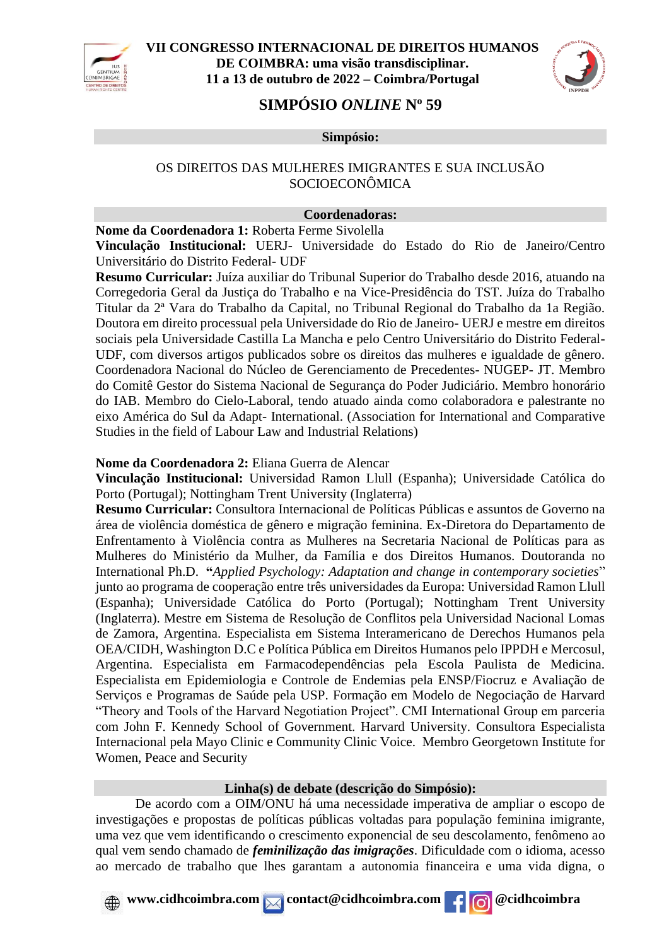



# **SIMPÓSIO** *ONLINE* **N<sup>o</sup> 59**

#### **Simpósio:**

## OS DIREITOS DAS MULHERES IMIGRANTES E SUA INCLUSÃO SOCIOECONÔMICA

#### **Coordenadoras:**

**Nome da Coordenadora 1:** Roberta Ferme Sivolella

**Vinculação Institucional:** UERJ- Universidade do Estado do Rio de Janeiro/Centro Universitário do Distrito Federal- UDF

**Resumo Curricular:** Juíza auxiliar do Tribunal Superior do Trabalho desde 2016, atuando na Corregedoria Geral da Justiça do Trabalho e na Vice-Presidência do TST. Juíza do Trabalho Titular da 2ª Vara do Trabalho da Capital, no Tribunal Regional do Trabalho da 1a Região. Doutora em direito processual pela Universidade do Rio de Janeiro- UERJ e mestre em direitos sociais pela Universidade Castilla La Mancha e pelo Centro Universitário do Distrito Federal-UDF, com diversos artigos publicados sobre os direitos das mulheres e igualdade de gênero. Coordenadora Nacional do Núcleo de Gerenciamento de Precedentes- NUGEP- JT. Membro do Comitê Gestor do Sistema Nacional de Segurança do Poder Judiciário. Membro honorário do IAB. Membro do Cielo-Laboral, tendo atuado ainda como colaboradora e palestrante no eixo América do Sul da Adapt- International. (Association for International and Comparative Studies in the field of Labour Law and Industrial Relations)

### **Nome da Coordenadora 2:** Eliana Guerra de Alencar

**Vinculação Institucional:** Universidad Ramon Llull (Espanha); Universidade Católica do Porto (Portugal); Nottingham Trent University (Inglaterra)

**Resumo Curricular:** Consultora Internacional de Políticas Públicas e assuntos de Governo na área de violência doméstica de gênero e migração feminina. Ex-Diretora do Departamento de Enfrentamento à Violência contra as Mulheres na Secretaria Nacional de Políticas para as Mulheres do Ministério da Mulher, da Família e dos Direitos Humanos. Doutoranda no International Ph.D. **"***Applied Psychology: Adaptation and change in contemporary societies*" junto ao programa de cooperação entre três universidades da Europa: Universidad Ramon Llull (Espanha); Universidade Católica do Porto (Portugal); Nottingham Trent University (Inglaterra). Mestre em Sistema de Resolução de Conflitos pela Universidad Nacional Lomas de Zamora, Argentina. Especialista em Sistema Interamericano de Derechos Humanos pela OEA/CIDH, Washington D.C e Política Pública em Direitos Humanos pelo IPPDH e Mercosul, Argentina. Especialista em Farmacodependências pela Escola Paulista de Medicina. Especialista em Epidemiologia e Controle de Endemias pela ENSP/Fiocruz e Avaliação de Serviços e Programas de Saúde pela USP. Formação em Modelo de Negociação de Harvard "Theory and Tools of the Harvard Negotiation Project". CMI International Group em parceria com John F. Kennedy School of Government. Harvard University. Consultora Especialista Internacional pela Mayo Clinic e Community Clinic Voice. Membro Georgetown Institute for Women, Peace and Security

#### **Linha(s) de debate (descrição do Simpósio):**

De acordo com a OIM/ONU há uma necessidade imperativa de ampliar o escopo de investigações e propostas de políticas públicas voltadas para população feminina imigrante, uma vez que vem identificando o crescimento exponencial de seu descolamento, fenômeno ao qual vem sendo chamado de *feminilização das imigrações*. Dificuldade com o idioma, acesso ao mercado de trabalho que lhes garantam a autonomia financeira e uma vida digna, o

# *www.cidhcoimbra.com* **contact@cidhcoimbra.com**  $\left| \right|$  **<b>c** @cidhcoimbra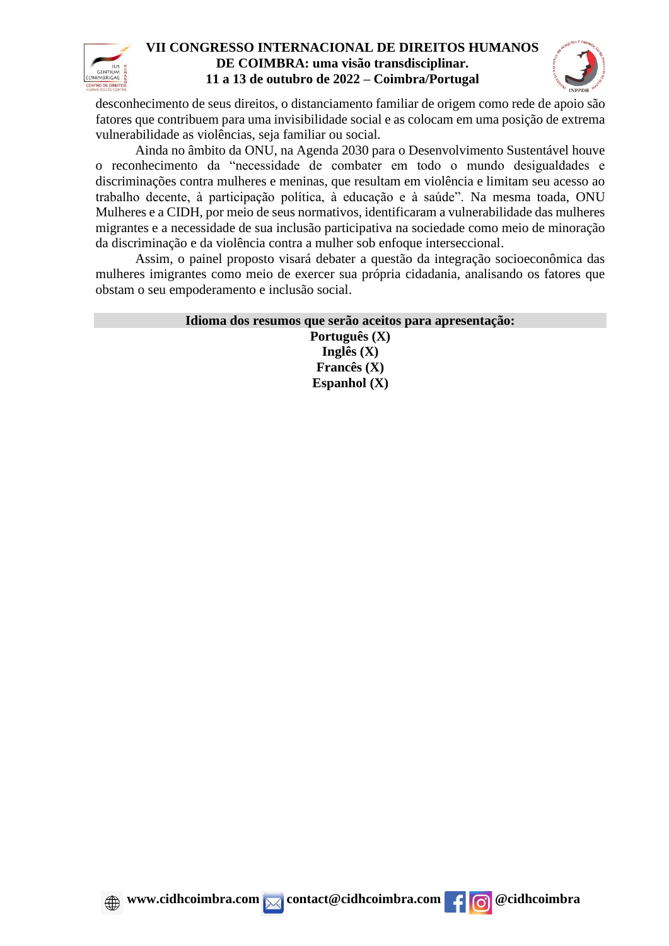



desconhecimento de seus direitos, o distanciamento familiar de origem como rede de apoio são fatores que contribuem para uma invisibilidade social e as colocam em uma posição de extrema vulnerabilidade as violências, seja familiar ou social.

Ainda no âmbito da ONU, na Agenda 2030 para o Desenvolvimento Sustentável houve o reconhecimento da "necessidade de combater em todo o mundo desigualdades e discriminações contra mulheres e meninas, que resultam em violência e limitam seu acesso ao trabalho decente, à participação política, à educação e à saúde". Na mesma toada, ONU Mulheres e a CIDH, por meio de seus normativos, identificaram a vulnerabilidade das mulheres migrantes e a necessidade de sua inclusão participativa na sociedade como meio de minoração da discriminação e da violência contra a mulher sob enfoque interseccional.

Assim, o painel proposto visará debater a questão da integração socioeconômica das mulheres imigrantes como meio de exercer sua própria cidadania, analisando os fatores que obstam o seu empoderamento e inclusão social.

| Idioma dos resumos que serão aceitos para apresentação: |
|---------------------------------------------------------|
| Português $(X)$                                         |
| Inglês $(X)$                                            |
| Francês $(X)$                                           |
| Espanhol $(X)$                                          |



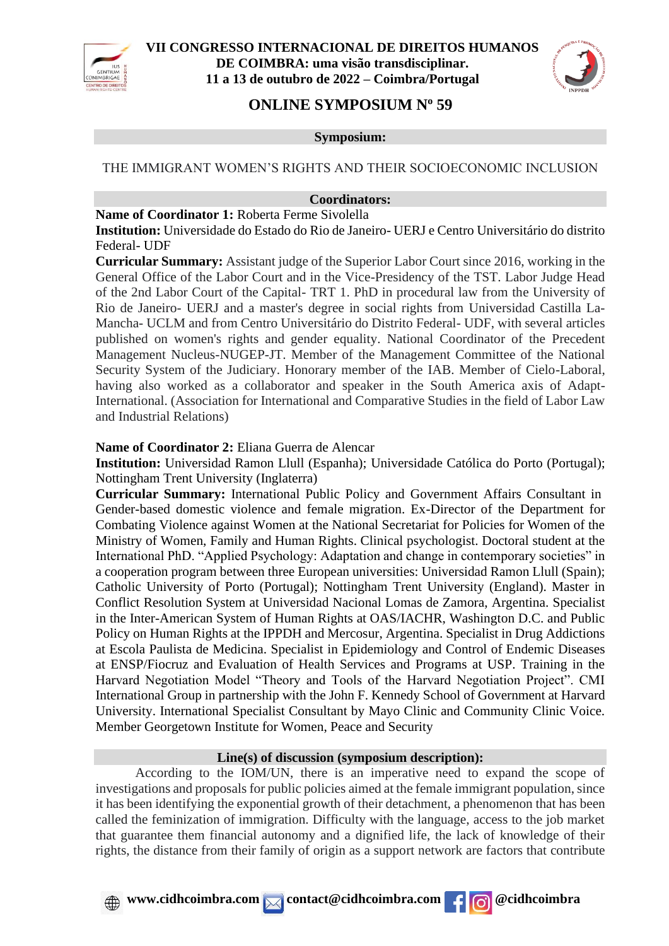



# **ONLINE SYMPOSIUM N<sup>o</sup> 59**

#### **Symposium:**

#### THE IMMIGRANT WOMEN'S RIGHTS AND THEIR SOCIOECONOMIC INCLUSION

#### **Coordinators:**

**Name of Coordinator 1:** Roberta Ferme Sivolella

**Institution:** Universidade do Estado do Rio de Janeiro- UERJ e Centro Universitário do distrito Federal- UDF

**Curricular Summary:** Assistant judge of the Superior Labor Court since 2016, working in the General Office of the Labor Court and in the Vice-Presidency of the TST. Labor Judge Head of the 2nd Labor Court of the Capital- TRT 1. PhD in procedural law from the University of Rio de Janeiro- UERJ and a master's degree in social rights from Universidad Castilla La-Mancha- UCLM and from Centro Universitário do Distrito Federal- UDF, with several articles published on women's rights and gender equality. National Coordinator of the Precedent Management Nucleus-NUGEP-JT. Member of the Management Committee of the National Security System of the Judiciary. Honorary member of the IAB. Member of Cielo-Laboral, having also worked as a collaborator and speaker in the South America axis of Adapt-International. (Association for International and Comparative Studies in the field of Labor Law and Industrial Relations)

#### **Name of Coordinator 2:** Eliana Guerra de Alencar

**Institution:** Universidad Ramon Llull (Espanha); Universidade Católica do Porto (Portugal); Nottingham Trent University (Inglaterra)

**Curricular Summary:** International Public Policy and Government Affairs Consultant in Gender-based domestic violence and female migration. Ex-Director of the Department for Combating Violence against Women at the National Secretariat for Policies for Women of the Ministry of Women, Family and Human Rights. Clinical psychologist. Doctoral student at the International PhD. "Applied Psychology: Adaptation and change in contemporary societies" in a cooperation program between three European universities: Universidad Ramon Llull (Spain); Catholic University of Porto (Portugal); Nottingham Trent University (England). Master in Conflict Resolution System at Universidad Nacional Lomas de Zamora, Argentina. Specialist in the Inter-American System of Human Rights at OAS/IACHR, Washington D.C. and Public Policy on Human Rights at the IPPDH and Mercosur, Argentina. Specialist in Drug Addictions at Escola Paulista de Medicina. Specialist in Epidemiology and Control of Endemic Diseases at ENSP/Fiocruz and Evaluation of Health Services and Programs at USP. Training in the Harvard Negotiation Model "Theory and Tools of the Harvard Negotiation Project". CMI International Group in partnership with the John F. Kennedy School of Government at Harvard University. International Specialist Consultant by Mayo Clinic and Community Clinic Voice. Member Georgetown Institute for Women, Peace and Security

#### **Line(s) of discussion (symposium description):**

According to the IOM/UN, there is an imperative need to expand the scope of investigations and proposals for public policies aimed at the female immigrant population, since it has been identifying the exponential growth of their detachment, a phenomenon that has been called the feminization of immigration. Difficulty with the language, access to the job market that guarantee them financial autonomy and a dignified life, the lack of knowledge of their rights, the distance from their family of origin as a support network are factors that contribute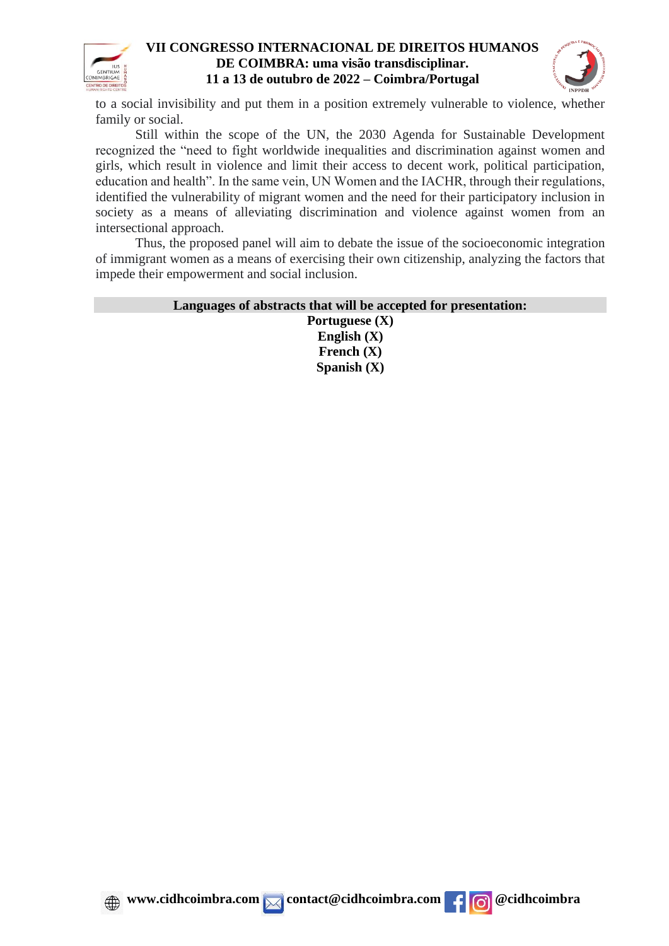



to a social invisibility and put them in a position extremely vulnerable to violence, whether family or social.

Still within the scope of the UN, the 2030 Agenda for Sustainable Development recognized the "need to fight worldwide inequalities and discrimination against women and girls, which result in violence and limit their access to decent work, political participation, education and health". In the same vein, UN Women and the IACHR, through their regulations, identified the vulnerability of migrant women and the need for their participatory inclusion in society as a means of alleviating discrimination and violence against women from an intersectional approach.

Thus, the proposed panel will aim to debate the issue of the socioeconomic integration of immigrant women as a means of exercising their own citizenship, analyzing the factors that impede their empowerment and social inclusion.

### **Languages of abstracts that will be accepted for presentation:**

**Portuguese (X) English (X) French (X) Spanish (X)**



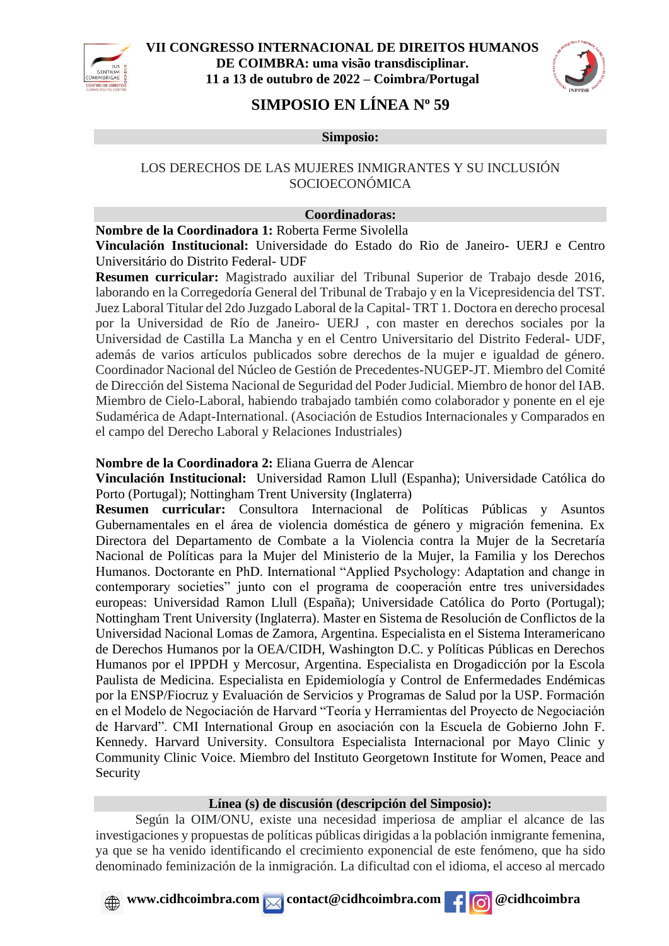



# **SIMPOSIO EN LÍNEA N<sup>o</sup> 59**

**Simposio:**

## LOS DERECHOS DE LAS MUJERES INMIGRANTES Y SU INCLUSIÓN SOCIOECONÓMICA

### **Coordinadoras:**

**Nombre de la Coordinadora 1:** Roberta Ferme Sivolella

**Vinculación Institucional:** Universidade do Estado do Rio de Janeiro- UERJ e Centro Universitário do Distrito Federal- UDF

**Resumen curricular:** Magistrado auxiliar del Tribunal Superior de Trabajo desde 2016, laborando en la Corregedoría General del Tribunal de Trabajo y en la Vicepresidencia del TST. Juez Laboral Titular del 2do Juzgado Laboral de la Capital- TRT 1. Doctora en derecho procesal por la Universidad de Río de Janeiro- UERJ , con master en derechos sociales por la Universidad de Castilla La Mancha y en el Centro Universitario del Distrito Federal- UDF, además de varios artículos publicados sobre derechos de la mujer e igualdad de género. Coordinador Nacional del Núcleo de Gestión de Precedentes-NUGEP-JT. Miembro del Comité de Dirección del Sistema Nacional de Seguridad del Poder Judicial. Miembro de honor del IAB. Miembro de Cielo-Laboral, habiendo trabajado también como colaborador y ponente en el eje Sudamérica de Adapt-International. (Asociación de Estudios Internacionales y Comparados en el campo del Derecho Laboral y Relaciones Industriales)

### **Nombre de la Coordinadora 2:** Eliana Guerra de Alencar

**Vinculación Institucional:** Universidad Ramon Llull (Espanha); Universidade Católica do Porto (Portugal); Nottingham Trent University (Inglaterra)

**Resumen curricular:** Consultora Internacional de Políticas Públicas y Asuntos Gubernamentales en el área de violencia doméstica de género y migración femenina. Ex Directora del Departamento de Combate a la Violencia contra la Mujer de la Secretaría Nacional de Políticas para la Mujer del Ministerio de la Mujer, la Familia y los Derechos Humanos. Doctorante en PhD. International "Applied Psychology: Adaptation and change in contemporary societies" junto con el programa de cooperación entre tres universidades europeas: Universidad Ramon Llull (España); Universidade Católica do Porto (Portugal); Nottingham Trent University (Inglaterra). Master en Sistema de Resolución de Conflictos de la Universidad Nacional Lomas de Zamora, Argentina. Especialista en el Sistema Interamericano de Derechos Humanos por la OEA/CIDH, Washington D.C. y Políticas Públicas en Derechos Humanos por el IPPDH y Mercosur, Argentina. Especialista en Drogadicción por la Escola Paulista de Medicina. Especialista en Epidemiología y Control de Enfermedades Endémicas por la ENSP/Fiocruz y Evaluación de Servicios y Programas de Salud por la USP. Formación en el Modelo de Negociación de Harvard "Teoría y Herramientas del Proyecto de Negociación de Harvard". CMI International Group en asociación con la Escuela de Gobierno John F. Kennedy. Harvard University. Consultora Especialista Internacional por Mayo Clinic y Community Clinic Voice. Miembro del Instituto Georgetown Institute for Women, Peace and Security

## **Línea (s) de discusión (descripción del Simposio):**

Según la OIM/ONU, existe una necesidad imperiosa de ampliar el alcance de las investigaciones y propuestas de políticas públicas dirigidas a la población inmigrante femenina, ya que se ha venido identificando el crecimiento exponencial de este fenómeno, que ha sido denominado feminización de la inmigración. La dificultad con el idioma, el acceso al mercado

## *www.cidhcoimbra.com* **contact@cidhcoimbra.com**  $\left| \right|$  **<b>c** @cidhcoimbra